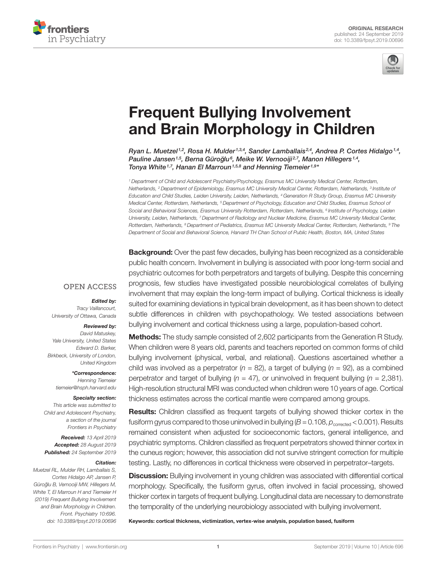



# [Frequent Bullying Involvement](https://www.frontiersin.org/article/10.3389/fpsyt.2019.00696/full)  [and Brain Morphology in Children](https://www.frontiersin.org/article/10.3389/fpsyt.2019.00696/full)

*[Ryan L. Muetzel](https://loop.frontiersin.org/people/395304)1,2, [Rosa H. Mulder](https://loop.frontiersin.org/people/803866/overview
)1,3,4, [Sander Lamballais](https://loop.frontiersin.org/people/803859/overview
)2,4, Andrea P. Cortes Hidalgo1,4, Pauline Jansen<sup>1,5</sup>, Berna Güroğlu<sup>6</sup>, [Meike W. Vernooij](https://loop.frontiersin.org/people/355067)i<sup>2,7</sup>, [Manon Hillegers](https://loop.frontiersin.org/people/467026)<sup>1,4</sup>, Tonya White1,7, [Hanan El Marroun](https://loop.frontiersin.org/people/81390)1,5,8 and Henning Tiemeier1,9\**

*1 Department of Child and Adolescent Psychiatry/Psychology, Erasmus MC University Medical Center, Rotterdam, Netherlands, 2 Department of Epidemiology, Erasmus MC University Medical Center, Rotterdam, Netherlands, 3 Institute of Education and Child Studies, Leiden University, Leiden, Netherlands, 4 Generation R Study Group, Erasmus MC University Medical Center, Rotterdam, Netherlands, 5 Department of Psychology, Education and Child Studies, Erasmus School of Social and Behavioral Sciences, Erasmus University Rotterdam, Rotterdam, Netherlands, 6 Institute of Psychology, Leiden University, Leiden, Netherlands, 7 Department of Radiology and Nuclear Medicine, Erasmus MC University Medical Center, Rotterdam, Netherlands, 8 Department of Pediatrics, Erasmus MC University Medical Center, Rotterdam, Netherlands, 9 The Department of Social and Behavioral Science, Harvard TH Chan School of Public Health, Boston, MA, United States*

**Background:** Over the past few decades, bullying has been recognized as a considerable public health concern. Involvement in bullying is associated with poor long-term social and psychiatric outcomes for both perpetrators and targets of bullying. Despite this concerning prognosis, few studies have investigated possible neurobiological correlates of bullying involvement that may explain the long-term impact of bullying. Cortical thickness is ideally suited for examining deviations in typical brain development, as it has been shown to detect subtle differences in children with psychopathology. We tested associations between bullying involvement and cortical thickness using a large, population-based cohort.

### **OPEN ACCESS**

#### *Edited by:*

*Tracy Vaillancourt, University of Ottawa, Canada*

### *Reviewed by:*

*David Matuskey, Yale University, United States Edward D. Barker, Birkbeck, University of London, United Kingdom*

> *\*Correspondence: Henning Tiemeier [tiemeier@hsph.harvard.edu](mailto:tiemeier@hsph.harvard.edu
)*

#### *Specialty section:*

*This article was submitted to Child and Adolescent Psychiatry, a section of the journal Frontiers in Psychiatry*

*Received: 13 April 2019 Accepted: 28 August 2019 Published: 24 September 2019*

#### *Citation:*

*Muetzel RL, Mulder RH, Lamballais S, Cortes Hidalgo AP, Jansen P, Gürog˘ lu B, Vernooiji MW, Hillegers M, White T, El Marroun H and Tiemeier H (2019) Frequent Bullying Involvement and Brain Morphology in Children. Front. Psychiatry 10:696. doi: [10.3389/fpsyt.2019.00696](https://doi.org/10.3389/fpsyt.2019.00696)* **Methods:** The study sample consisted of 2,602 participants from the Generation R Study. When children were 8 years old, parents and teachers reported on common forms of child bullying involvement (physical, verbal, and relational). Questions ascertained whether a child was involved as a perpetrator  $(n = 82)$ , a target of bullying  $(n = 92)$ , as a combined perpetrator and target of bullying  $(n = 47)$ , or uninvolved in frequent bullying  $(n = 2,381)$ . High-resolution structural MRI was conducted when children were 10 years of age. Cortical thickness estimates across the cortical mantle were compared among groups.

**Results:** Children classified as frequent targets of bullying showed thicker cortex in the fusiform gyrus compared to those uninvolved in bullying ( $B = 0.108$ ,  $p_{\text{corrected}} < 0.001$ ). Results remained consistent when adjusted for socioeconomic factors, general intelligence, and psychiatric symptoms. Children classified as frequent perpetrators showed thinner cortex in the cuneus region; however, this association did not survive stringent correction for multiple testing. Lastly, no differences in cortical thickness were observed in perpetrator–targets.

**Discussion:** Bullying involvement in young children was associated with differential cortical morphology. Specifically, the fusiform gyrus, often involved in facial processing, showed thicker cortex in targets of frequent bullying. Longitudinal data are necessary to demonstrate the temporality of the underlying neurobiology associated with bullying involvement.

Keywords: cortical thickness, victimization, vertex-wise analysis, population based, fusiform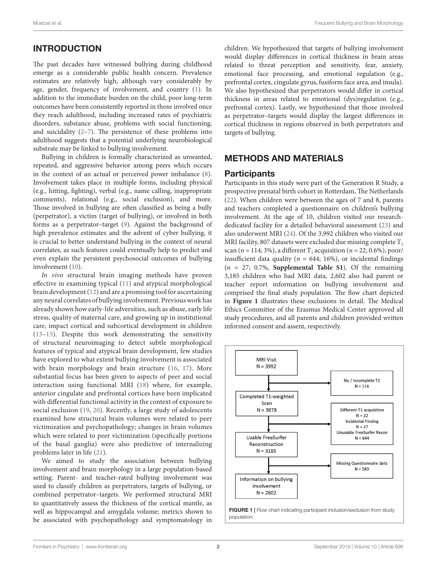# INTRODUCTION

The past decades have witnessed bullying during childhood emerge as a considerable public health concern. Prevalence estimates are relatively high, although vary considerably by age, gender, frequency of involvement, and country [\(1](#page-7-0)). In addition to the immediate burden on the child, poor long-term outcomes have been consistently reported in those involved once they reach adulthood, including increased rates of psychiatric disorders, substance abuse, problems with social functioning, and suicidality [\(2–](#page-7-1)7). The persistence of these problems into adulthood suggests that a potential underlying neurobiological substrate may be linked to bullying involvement.

Bullying in children is formally characterized as unwanted, repeated, and aggressive behavior among peers which occurs in the context of an actual or perceived power imbalance (8). Involvement takes place in multiple forms, including physical (e.g., hitting, fighting), verbal (e.g., name calling, inappropriate comments), relational (e.g., social exclusion), and more. Those involved in bullying are often classified as being a bully (perpetrator), a victim (target of bullying), or involved in both forms as a perpetrator–target (9). Against the background of high prevalence estimates and the advent of cyber bullying, it is crucial to better understand bullying in the context of neural correlates, as such features could eventually help to predict and even explain the persistent psychosocial outcomes of bullying involvement ([10\)](#page-7-2).

*In vivo* structural brain imaging methods have proven effective in examining typical [\(11\)](#page-7-3) and atypical morphological brain development ([12](#page-7-4)) and are a promising tool for ascertaining any neural correlates of bullying involvement. Previous work has already shown how early-life adversities, such as abuse, early life stress, quality of maternal care, and growing up in institutional care, impact cortical and subcortical development in children [\(13–](#page-7-5)[15](#page-7-6)). Despite this work demonstrating the sensitivity of structural neuroimaging to detect subtle morphological features of typical and atypical brain development, few studies have explored to what extent bullying involvement is associated with brain morphology and brain structure [\(16,](#page-7-7) [17\)](#page-8-0). More substantial focus has been given to aspects of peer and social interaction using functional MRI ([18](#page-8-1)) where, for example, anterior cingulate and prefrontal cortices have been implicated with differential functional activity in the context of exposure to social exclusion ([19,](#page-8-2) [20](#page-8-3)). Recently, a large study of adolescents examined how structural brain volumes were related to peer victimization and psychopathology; changes in brain volumes which were related to peer victimization (specifically portions of the basal ganglia) were also predictive of internalizing problems later in life ([21](#page-8-4)).

We aimed to study the association between bullying involvement and brain morphology in a large population-based setting. Parent- and teacher-rated bullying involvement was used to classify children as perpetrators, targets of bullying, or combined perpetrator–targets. We performed structural MRI to quantitatively assess the thickness of the cortical mantle, as well as hippocampal and amygdala volume; metrics shown to be associated with psychopathology and symptomatology in children. We hypothesized that targets of bullying involvement would display differences in cortical thickness in brain areas related to threat perception and sensitivity, fear, anxiety, emotional face processing, and emotional regulation (e.g., prefrontal cortex, cingulate gyrus, fusiform face area, and insula). We also hypothesized that perpetrators would differ in cortical thickness in areas related to emotional (dys)regulation (e.g., prefrontal cortex). Lastly, we hypothesized that those involved as perpetrator–targets would display the largest differences in cortical thickness in regions observed in both perpetrators and targets of bullying.

# METHODS AND MATERIALS

### **Participants**

Participants in this study were part of the Generation R Study, a prospective prenatal birth cohort in Rotterdam, The Netherlands [\(22](#page-8-5)). When children were between the ages of 7 and 8, parents and teachers completed a questionnaire on children's bullying involvement. At the age of 10, children visited our researchdedicated facility for a detailed behavioral assessment ([23](#page-8-6)) and also underwent MRI [\(24](#page-8-7)). Of the 3,992 children who visited our MRI facility, 807 datasets were excluded due missing complete  $T_1$ scan ( $n = 114$ ; 3%), a different T<sub>1</sub> acquisition ( $n = 22, 0.6\%$ ), poor/ insufficient data quality ( $n = 644$ ; 16%), or incidental findings (*n* = 27; 0.7%, **Supplemental Table S1**). Of the remaining 3,185 children who had MRI data, 2,602 also had parent or teacher report information on bullying involvement and comprised the final study population. The flow chart depicted in **[Figure 1](#page-1-0)** illustrates these exclusions in detail. The Medical Ethics Committee of the Erasmus Medical Center approved all study procedures, and all parents and children provided written informed consent and assent, respectively.

<span id="page-1-0"></span>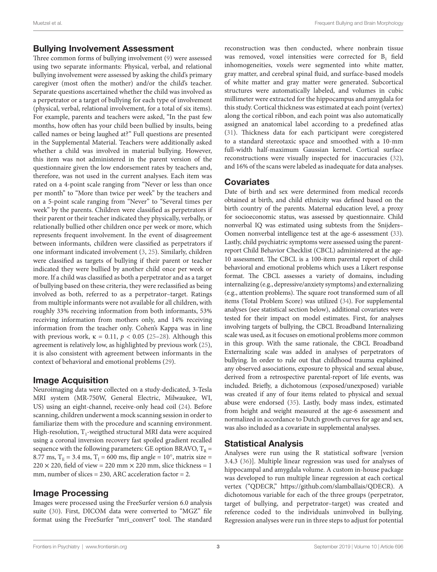### Bullying Involvement Assessment

Three common forms of bullying involvement (9) were assessed using two separate informants: Physical, verbal, and relational bullying involvement were assessed by asking the child's primary caregiver (most often the mother) and/or the child's teacher. Separate questions ascertained whether the child was involved as a perpetrator or a target of bullying for each type of involvement (physical, verbal, relational involvement, for a total of six items). For example, parents and teachers were asked, "In the past few months, how often has your child been bullied by insults, being called names or being laughed at?" Full questions are presented in the Supplemental Material. Teachers were additionally asked whether a child was involved in material bullying. However, this item was not administered in the parent version of the questionnaire given the low endorsement rates by teachers and, therefore, was not used in the current analyses. Each item was rated on a 4-point scale ranging from "Never or less than once per month" to "More than twice per week" by the teachers and on a 5-point scale ranging from "Never" to "Several times per week" by the parents. Children were classified as perpetrators if their parent or their teacher indicated they physically, verbally, or relationally bullied other children once per week or more, which represents frequent involvement. In the event of disagreement between informants, children were classified as perpetrators if one informant indicated involvement (3, [25](#page-8-8)). Similarly, children were classified as targets of bullying if their parent or teacher indicated they were bullied by another child once per week or more. If a child was classified as both a perpetrator and as a target of bullying based on these criteria, they were reclassified as being involved as both, referred to as a perpetrator–target. Ratings from multiple informants were not available for all children, with roughly 33% receiving information from both informants, 53% receiving information from mothers only, and 14% receiving information from the teacher only. Cohen's Kappa was in line with previous work,  $\kappa = 0.11$ ,  $p < 0.05$  [\(25](#page-8-8)[–28](#page-8-9)). Although this agreement is relatively low, as highlighted by previous work [\(25](#page-8-8)), it is also consistent with agreement between informants in the context of behavioral and emotional problems ([29](#page-8-10)).

### Image Acquisition

Neuroimaging data were collected on a study-dedicated, 3-Tesla MRI system (MR-750W, General Electric, Milwaukee, WI, US) using an eight-channel, receive-only head coil ([24\)](#page-8-7). Before scanning, children underwent a mock scanning session in order to familiarize them with the procedure and scanning environment. High-resolution,  $T_1$ -weigthed structural MRI data were acquired using a coronal inversion recovery fast spoiled gradient recalled sequence with the following parameters: GE option BRAVO,  $T_R$  = 8.77 ms,  $T_E = 3.4$  ms,  $T_I = 600$  ms, flip angle =  $10^{\circ}$ , matrix size =  $220 \times 220$ , field of view = 220 mm  $\times$  220 mm, slice thickness = 1 mm, number of slices = 230, ARC acceleration factor = 2.

### Image Processing

Images were processed using the FreeSurfer version 6.0 analysis suite [\(30](#page-8-11)). First, DICOM data were converted to "MGZ" file format using the FreeSurfer "mri\_convert" tool. The standard reconstruction was then conducted, where nonbrain tissue was removed, voxel intensities were corrected for  $B_1$  field inhomogeneities, voxels were segmented into white matter, gray matter, and cerebral spinal fluid, and surface-based models of white matter and gray matter were generated. Subcortical structures were automatically labeled, and volumes in cubic millimeter were extracted for the hippocampus and amygdala for this study. Cortical thickness was estimated at each point (vertex) along the cortical ribbon, and each point was also automatically assigned an anatomical label according to a predefined atlas [\(31](#page-8-12)). Thickness data for each participant were coregistered to a standard stereotaxic space and smoothed with a 10-mm full-width half-maximum Gaussian kernel. Cortical surface reconstructions were visually inspected for inaccuracies [\(32](#page-8-13)), and 16% of the scans were labeled as inadequate for data analyses.

### **Covariates**

Date of birth and sex were determined from medical records obtained at birth, and child ethnicity was defined based on the birth country of the parents. Maternal education level, a proxy for socioeconomic status, was assessed by questionnaire. Child nonverbal IQ was estimated using subtests from the Snijders– Oomen nonverbal intelligence test at the age-6 assessment [\(33](#page-8-14)). Lastly, child psychiatric symptoms were assessed using the parentreport Child Behavior Checklist (CBCL) administered at the age-10 assessment. The CBCL is a 100-item parental report of child behavioral and emotional problems which uses a Likert response format. The CBCL assesses a variety of domains, including internalizing (e.g., depressive/anxiety symptoms) and externalizing (e.g., attention problems). The square root transformed sum of all items (Total Problem Score) was utilized ([34](#page-8-15)). For supplemental analyses (see statistical section below), additional covariates were tested for their impact on model estimates. First, for analyses involving targets of bullying, the CBCL Broadband Internalizing scale was used, as it focuses on emotional problems more common in this group. With the same rationale, the CBCL Broadband Externalizing scale was added in analyses of perpetrators of bullying. In order to rule out that childhood trauma explained any observed associations, exposure to physical and sexual abuse, derived from a retrospective parental-report of life events, was included. Briefly, a dichotomous (exposed/unexposed) variable was created if any of four items related to physical and sexual abuse were endorsed ([35\)](#page-8-16). Lastly, body mass index, estimated from height and weight measured at the age-6 assessment and normalized in accordance to Dutch growth curves for age and sex, was also included as a covariate in supplemental analyses.

### Statistical Analysis

Analyses were run using the R statistical software [version 3.4.3 ([36\)](#page-8-17)]. Multiple linear regression was used for analyses of hippocampal and amygdala volume. A custom in-house package was developed to run multiple linear regression at each cortical vertex ("QDECR," <https://github.com/slamballais/QDECR>). A dichotomous variable for each of the three groups (perpetrator, target of bullying, and perpetrator–target) was created and reference coded to the individuals uninvolved in bullying. Regression analyses were run in three steps to adjust for potential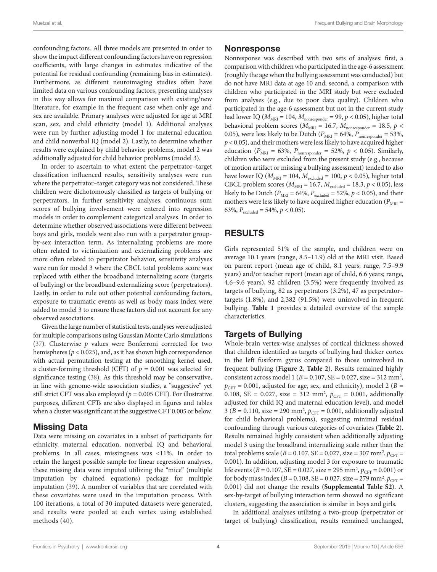confounding factors. All three models are presented in order to show the impact different confounding factors have on regression coefficients, with large changes in estimates indicative of the potential for residual confounding (remaining bias in estimates). Furthermore, as different neuroimaging studies often have limited data on various confounding factors, presenting analyses in this way allows for maximal comparison with existing/new literature, for example in the frequent case when only age and sex are available. Primary analyses were adjusted for age at MRI scan, sex, and child ethnicity (model 1). Additional analyses were run by further adjusting model 1 for maternal education and child nonverbal IQ (model 2). Lastly, to determine whether results were explained by child behavior problems, model 2 was additionally adjusted for child behavior problems (model 3).

In order to ascertain to what extent the perpetrator–target classification influenced results, sensitivity analyses were run where the perpetrator–target category was not considered. These children were dichotomously classified as targets of bullying or perpetrators. In further sensitivity analyses, continuous sum scores of bullying involvement were entered into regression models in order to complement categorical analyses. In order to determine whether observed associations were different between boys and girls, models were also run with a perpetrator groupby-sex interaction term. As internalizing problems are more often related to victimization and externalizing problems are more often related to perpetrator behavior, sensitivity analyses were run for model 3 where the CBCL total problems score was replaced with either the broadband internalizing score (targets of bullying) or the broadband externalizing score (perpetrators). Lastly, in order to rule out other potential confounding factors, exposure to traumatic events as well as body mass index were added to model 3 to ensure these factors did not account for any observed associations.

Given the large number of statistical tests, analyses were adjusted for multiple comparisons using Gaussian Monte Carlo simulations [\(37](#page-8-18)). Clusterwise *p* values were Bonferroni corrected for two hemispheres ( $p < 0.025$ ), and, as it has shown high correspondence with actual permutation testing at the smoothing kernel used, a cluster-forming threshold (CFT) of  $p = 0.001$  was selected for significance testing [\(38](#page-8-19)). As this threshold may be conservative, in line with genome-wide association studies, a "suggestive" yet still strict CFT was also employed ( $p = 0.005$  CFT). For illustrative purposes, different CFTs are also displayed in figures and tables when a cluster was significant at the suggestive CFT 0.005 or below.

### Missing Data

Data were missing on covariates in a subset of participants for ethnicity, maternal education, nonverbal IQ and behavioral problems. In all cases, missingness was <11%. In order to retain the largest possible sample for linear regression analyses, these missing data were imputed utilizing the "mice" (multiple imputation by chained equations) package for multiple imputation (39). A number of variables that are correlated with these covariates were used in the imputation process. With 100 iterations, a total of 30 imputed datasets were generated, and results were pooled at each vertex using established methods (40).

### Nonresponse

Nonresponse was described with two sets of analyses: first, a comparison with children who participated in the age-6 assessment (roughly the age when the bullying assessment was conducted) but do not have MRI data at age 10 and, second, a comparison with children who participated in the MRI study but were excluded from analyses (e.g., due to poor data quality). Children who participated in the age-6 assessment but not in the current study had lower IQ ( $M_{\rm MRI}$  = 104,  $M_{\rm nonresponder}$  = 99,  $p$  < 0.05), higher total behavioral problem scores ( $M_{\text{MRI}}$  = 16.7,  $M_{\text{nonresponder}}$  = 18.5,  $p$  < 0.05), were less likely to be Dutch ( $P_{\text{MRI}} = 64\%$ ,  $P_{\text{nonresا} = 53\%$ , *p* < 0.05), and their mothers were less likely to have acquired higher education ( $P_{\text{MRI}} = 63\%$ ,  $P_{\text{nonresponder}} = 52\%$ ,  $p < 0.05$ ). Similarly, children who were excluded from the present study (e.g., because of motion artifact or missing a bullying assessment) tended to also have lower IQ ( $M_{\text{MRI}}$  = 104,  $M_{\text{excluded}}$  = 100,  $p$  < 0.05), higher total CBCL problem scores ( $M_{\text{MRI}} = 16.7$ ,  $M_{\text{excluded}} = 18.3$ ,  $p < 0.05$ ), less likely to be Dutch ( $P_{\text{MRI}} = 64\%$ ,  $P_{\text{excluded}} = 52\%$ ,  $p < 0.05$ ), and their mothers were less likely to have acquired higher education ( $P<sub>MRI</sub>$  = 63%,  $P_{\text{excluded}} = 54\%, p < 0.05$ ).

### RESULTS

Girls represented 51% of the sample, and children were on average 10.1 years (range, 8.5–11.9) old at the MRI visit. Based on parent report (mean age of child, 8.1 years; range, 7.5–9.9 years) and/or teacher report (mean age of child, 6.6 years; range, 4.6–9.6 years), 92 children (3.5%) were frequently involved as targets of bullying, 82 as perpetrators (3.2%), 47 as perpetrator– targets (1.8%), and 2,382 (91.5%) were uninvolved in frequent bullying. **Table 1** provides a detailed overview of the sample characteristics.

### Targets of Bullying

Whole-brain vertex-wise analyses of cortical thickness showed that children identified as targets of bullying had thicker cortex in the left fusiform gyrus compared to those uninvolved in frequent bullying (**[Figure 2](#page-4-0)**, **Table 2**). Results remained highly consistent across model 1 ( $B = 0.107$ ,  $SE = 0.027$ , size = 312 mm<sup>2</sup>,  $p_{\text{CFT}}$  = 0.001, adjusted for age, sex, and ethnicity), model 2 ( $B =$ 0.108, SE = 0.027, size = 312 mm<sup>2</sup>,  $p_{\text{CFT}} = 0.001$ , additionally adjusted for child IQ and maternal education level), and model 3 ( $B = 0.110$ , size = 290 mm<sup>2</sup>,  $p_{\text{CFT}} = 0.001$ , additionally adjusted for child behavioral problems), suggesting minimal residual confounding through various categories of covariates (**Table 2**). Results remained highly consistent when additionally adjusting model 3 using the broadband internalizing scale rather than the total problems scale (*B* = 0.107, SE = 0.027, size = 307 mm<sup>2</sup>,  $p_{\text{CFT}}$  = 0.001). In addition, adjusting model 3 for exposure to traumatic life events ( $B = 0.107$ ,  $SE = 0.027$ , size = 295 mm<sup>2</sup>,  $p_{CFT} = 0.001$ ) or for body mass index (*B* = 0.108, SE = 0.027, size = 279 mm<sup>2</sup>,  $p_{\text{CFT}}$  = 0.001) did not change the results (**Supplemental Table S2**). A sex-by-target of bullying interaction term showed no significant clusters, suggesting the association is similar in boys and girls.

In additional analyses utilizing a two-group (perpetrator or target of bullying) classification, results remained unchanged,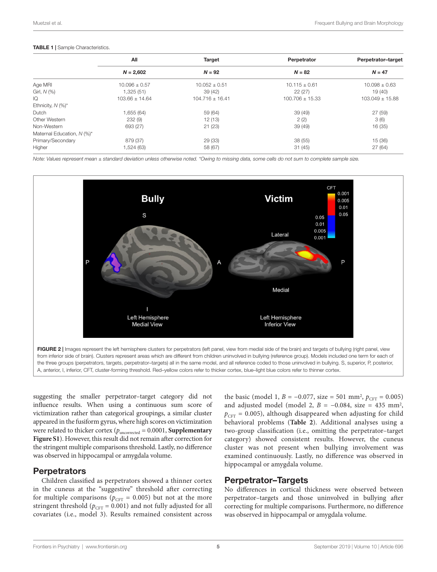#### TABLE 1 | Sample Characteristics.

|                            | All               | <b>Target</b>     | Perpetrator       | Perpetrator-target |  |
|----------------------------|-------------------|-------------------|-------------------|--------------------|--|
|                            | $N = 2,602$       | $N = 92$          | $N = 82$          | $N = 47$           |  |
| Age MRI                    | $10.096 \pm 0.57$ | $10.052 + 0.51$   | $10.115 \pm 0.61$ | $10.098 \pm 0.63$  |  |
| Girl, N (%)                | 1,325 (51)        | 39 (42)           | 22(27)            | 19 (40)            |  |
| IQ                         | $103.66 + 14.64$  | $104.716 + 16.41$ | $100.706 + 15.33$ | $103.049 + 15.88$  |  |
| Ethnicity, $N$ (%)*        |                   |                   |                   |                    |  |
| Dutch                      | 1,655 (64)        | 59 (64)           | 39 (49)           | 27(59)             |  |
| Other Western              | 232(9)            | 12(13)            | 2(2)              | 3(6)               |  |
| Non-Western                | 693 (27)          | 21(23)            | 39 (49)           | 16(35)             |  |
| Maternal Education, N (%)* |                   |                   |                   |                    |  |
| Primary/Secondary          | 879 (37)          | 29(33)            | 38 (55)           | 15 (36)            |  |
| Higher                     | 1,524 (63)        | 58 (67)           | 31(45)            | 27(64)             |  |

*Note: Values represent mean ± standard deviation unless otherwise noted. \*Owing to missing data, some cells do not sum to complete sample size.*



<span id="page-4-0"></span>from inferior side of brain). Clusters represent areas which are different from children uninvolved in bullying (reference group). Models included one term for each of the three groups (perpetrators, targets, perpetrator–targets) all in the same model, and all reference coded to those uninvolved in bullying. S, superior, P, posterior, A, anterior, I, inferior, CFT, cluster-forming threshold. Red–yellow colors refer to thicker cortex, blue–light blue colors refer to thinner cortex.

suggesting the smaller perpetrator–target category did not influence results. When using a continuous sum score of victimization rather than categorical groupings, a similar cluster appeared in the fusiform gyrus, where high scores on victimization were related to thicker cortex ( $p_{\text{uncorrected}} = 0.0001$ , **Supplementary Figure S1**). However, this result did not remain after correction for the stringent multiple comparisons threshold. Lastly, no difference was observed in hippocampal or amygdala volume.

### **Perpetrators**

Children classified as perpetrators showed a thinner cortex in the cuneus at the "suggestive" threshold after correcting for multiple comparisons ( $p_{\text{CFT}}$  = 0.005) but not at the more stringent threshold ( $p_{\text{CFT}}$  = 0.001) and not fully adjusted for all covariates (i.e., model 3). Results remained consistent across the basic (model 1, *B* =  $-0.077$ , size = 501 mm<sup>2</sup>,  $p_{\text{CFT}}$  = 0.005) and adjusted model (model 2,  $B = -0.084$ , size = 435 mm<sup>2</sup>,  $p_{\text{CFT}}$  = 0.005), although disappeared when adjusting for child behavioral problems (**Table 2**). Additional analyses using a two-group classification (i.e., omitting the perpetrator–target category) showed consistent results. However, the cuneus cluster was not present when bullying involvement was examined continuously. Lastly, no difference was observed in hippocampal or amygdala volume.

### Perpetrator–Targets

No differences in cortical thickness were observed between perpetrator–targets and those uninvolved in bullying after correcting for multiple comparisons. Furthermore, no difference was observed in hippocampal or amygdala volume.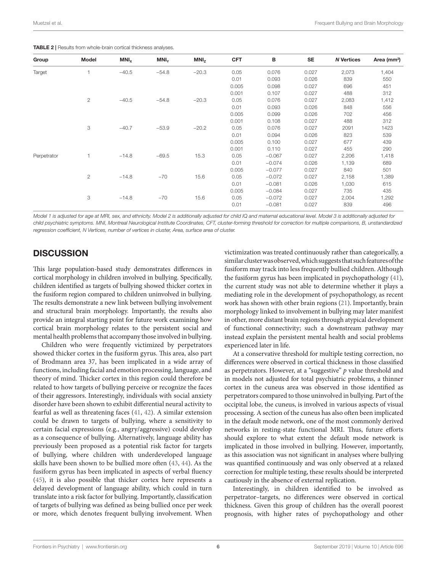| Group       | Model          | $MNI_{x}$ | $MNl_{v}$ | MNl <sub>z</sub> | <b>CFT</b> | в        | <b>SE</b> | <b>N</b> Vertices | Area (mm <sup>2</sup> ) |
|-------------|----------------|-----------|-----------|------------------|------------|----------|-----------|-------------------|-------------------------|
| Target      |                | $-40.5$   | $-54.8$   | $-20.3$          | 0.05       | 0.076    | 0.027     | 2,073             | 1,404                   |
|             |                |           |           |                  | 0.01       | 0.093    | 0.026     | 839               | 550                     |
|             |                |           |           |                  | 0.005      | 0.098    | 0.027     | 696               | 451                     |
|             |                |           |           |                  | 0.001      | 0.107    | 0.027     | 488               | 312                     |
|             | $\overline{2}$ | $-40.5$   | $-54.8$   | $-20.3$          | 0.05       | 0.076    | 0.027     | 2,083             | 1,412                   |
|             |                |           |           |                  | 0.01       | 0.093    | 0.026     | 848               | 556                     |
|             |                |           |           |                  | 0.005      | 0.099    | 0.026     | 702               | 456                     |
|             |                |           |           |                  | 0.001      | 0.108    | 0.027     | 488               | 312                     |
|             | 3              | $-40.7$   | $-53.9$   | $-20.2$          | 0.05       | 0.076    | 0.027     | 2091              | 1423                    |
|             |                |           |           |                  | 0.01       | 0.094    | 0.026     | 823               | 539                     |
|             |                |           |           |                  | 0.005      | 0.100    | 0.027     | 677               | 439                     |
|             |                |           |           |                  | 0.001      | 0.110    | 0.027     | 455               | 290                     |
| Perpetrator |                | $-14.8$   | $-69.5$   | 15.3             | 0.05       | $-0.067$ | 0.027     | 2,206             | 1,418                   |
|             |                |           |           |                  | 0.01       | $-0.074$ | 0.026     | 1,139             | 689                     |
|             |                |           |           |                  | 0.005      | $-0.077$ | 0.027     | 840               | 501                     |
|             | $\mathbf{2}$   | $-14.8$   | $-70$     | 15.6             | 0.05       | $-0.072$ | 0.027     | 2,158             | 1,389                   |
|             |                |           |           |                  | 0.01       | $-0.081$ | 0.026     | 1,030             | 615                     |
|             |                |           |           |                  | 0.005      | $-0.084$ | 0.027     | 735               | 435                     |
|             | 3              | $-14.8$   | $-70$     | 15.6             | 0.05       | $-0.072$ | 0.027     | 2,004             | 1,292                   |
|             |                |           |           |                  | 0.01       | $-0.081$ | 0.027     | 839               | 496                     |

*Model 1 is adjusted for age at MRI, sex, and ethnicity. Model 2 is additionally adjusted for child IQ and maternal educational level. Model 3 is additionally adjusted for child psychiatric symptoms. MNI, Montreal Neurological Institute Coordinates, CFT, cluster-forming threshold for correction for multiple comparisons, B, unstandardized regression coefficient, N Vertices, number of vertices in cluster, Area, surface area of cluster.*

### **DISCUSSION**

This large population-based study demonstrates differences in cortical morphology in children involved in bullying. Specifically, children identified as targets of bullying showed thicker cortex in the fusiform region compared to children uninvolved in bullying. The results demonstrate a new link between bullying involvement and structural brain morphology. Importantly, the results also provide an integral starting point for future work examining how cortical brain morphology relates to the persistent social and mental health problems that accompany those involved in bullying.

Children who were frequently victimized by perpetrators showed thicker cortex in the fusiform gyrus. This area, also part of Brodmann area 37, has been implicated in a wide array of functions, including facial and emotion processing, language, and theory of mind. Thicker cortex in this region could therefore be related to how targets of bullying perceive or recognize the faces of their aggressors. Interestingly, individuals with social anxiety disorder have been shown to exhibit differential neural activity to fearful as well as threatening faces (41, 42). A similar extension could be drawn to targets of bullying, where a sensitivity to certain facial expressions (e.g., angry/aggressive) could develop as a consequence of bullying. Alternatively, language ability has previously been proposed as a potential risk factor for targets of bullying, where children with underdeveloped language skills have been shown to be bullied more often (43, 44). As the fusiform gyrus has been implicated in aspects of verbal fluency (45), it is also possible that thicker cortex here represents a delayed development of language ability, which could in turn translate into a risk factor for bullying. Importantly, classification of targets of bullying was defined as being bullied once per week or more, which denotes frequent bullying involvement. When victimization was treated continuously rather than categorically, a similar cluster was observed, which suggests that such features of the fusiform may track into less frequently bullied children. Although the fusiform gyrus has been implicated in psychopathology (41), the current study was not able to determine whether it plays a mediating role in the development of psychopathology, as recent work has shown with other brain regions [\(21](#page-8-4)). Importantly, brain morphology linked to involvement in bullying may later manifest in other, more distant brain regions through atypical development of functional connectivity; such a downstream pathway may instead explain the persistent mental health and social problems experienced later in life.

At a conservative threshold for multiple testing correction, no differences were observed in cortical thickness in those classified as perpetrators. However, at a "suggestive" *p* value threshold and in models not adjusted for total psychiatric problems, a thinner cortex in the cuneus area was observed in those identified as perpetrators compared to those uninvolved in bullying. Part of the occipital lobe, the cuneus, is involved in various aspects of visual processing. A section of the cuneus has also often been implicated in the default mode network, one of the most commonly derived networks in resting-state functional MRI. Thus, future efforts should explore to what extent the default mode network is implicated in those involved in bullying. However, importantly, as this association was not significant in analyses where bullying was quantified continuously and was only observed at a relaxed correction for multiple testing, these results should be interpreted cautiously in the absence of external replication.

Interestingly, in children identified to be involved as perpetrator–targets, no differences were observed in cortical thickness. Given this group of children has the overall poorest prognosis, with higher rates of psychopathology and other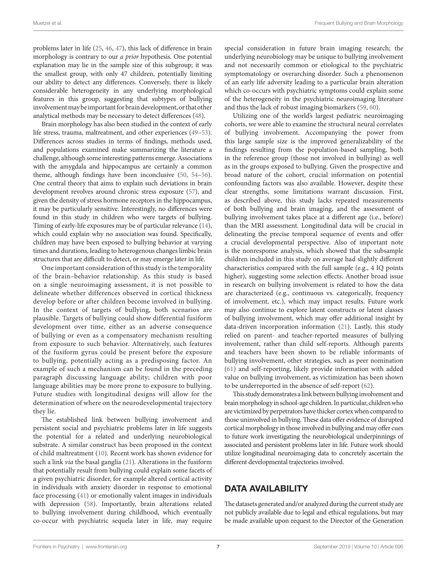problems later in life ([25,](#page-8-8) 46, 47), this lack of difference in brain morphology is contrary to our *a prior* hypothesis. One potential explanation may lie in the sample size of this subgroup; it was the smallest group, with only 47 children, potentially limiting our ability to detect any differences. Conversely, there is likely considerable heterogeneity in any underlying morphological features in this group, suggesting that subtypes of bullying involvement may be important for brain development, or that other analytical methods may be necessary to detect differences (48).

Brain morphology has also been studied in the context of early life stress, trauma, maltreatment, and other experiences (49–53). Differences across studies in terms of findings, methods used, and populations examined make summarizing the literature a challenge, although some interesting patterns emerge. Associations with the amygdala and hippocampus are certainly a common theme, although findings have been inconclusive (50, 54–56). One central theory that aims to explain such deviations in brain development revolves around chronic stress exposure (57), and given the density of stress hormone receptors in the hippocampus, it may be particularly sensitive. Interestingly, no differences were found in this study in children who were targets of bullying. Timing of early-life exposures may be of particular relevance ([14\)](#page-7-8), which could explain why no association was found. Specifically, children may have been exposed to bullying behavior at varying times and durations, leading to heterogenous changes limbic brain structures that are difficult to detect, or may emerge later in life.

One important consideration of this study is the temporality of the brain–behavior relationship. As this study is based on a single neuroimaging assessment, it is not possible to delineate whether differences observed in cortical thickness develop before or after children become involved in bullying. In the context of targets of bullying, both scenarios are plausible. Targets of bullying could show differential fusiform development over time, either as an adverse consequence of bullying or even as a compensatory mechanism resulting from exposure to such behavior. Alternatively, such features of the fusiform gyrus could be present before the exposure to bullying, potentially acting as a predisposing factor. An example of such a mechanism can be found in the preceding paragraph discussing language ability; children with poor language abilities may be more prone to exposure to bullying. Future studies with longitudinal designs will allow for the determination of where on the neurodevelopmental trajectory they lie.

The established link between bullying involvement and persistent social and psychiatric problems later in life suggests the potential for a related and underlying neurobiological substrate. A similar construct has been proposed in the context of child maltreatment [\(10](#page-7-2)). Recent work has shown evidence for such a link *via* the basal ganglia ([21\)](#page-8-4). Alterations in the fusiform that potentially result from bullying could explain some facets of a given psychiatric disorder, for example altered cortical activity in individuals with anxiety disorder in response to emotional face processing (41) or emotionally valent images in individuals with depression (58). Importantly, brain alterations related to bullying involvement during childhood, which eventually co-occur with psychiatric sequela later in life, may require special consideration in future brain imaging research; the underlying neurobiology may be unique to bullying involvement and not necessarily common or etiological to the psychiatric symptomatology or overarching disorder. Such a phenomenon of an early life adversity leading to a particular brain alteration which co-occurs with psychiatric symptoms could explain some of the heterogeneity in the psychiatric neuroimaging literature and thus the lack of robust imaging biomarkers (59, 60).

Utilizing one of the world's largest pediatric neuroimaging cohorts, we were able to examine the structural neural correlates of bullying involvement. Accompanying the power from this large sample size is the improved generalizability of the findings resulting from the population-based sampling, both in the reference group (those not involved in bullying) as well as in the groups exposed to bullying. Given the prospective and broad nature of the cohort, crucial information on potential confounding factors was also available. However, despite these clear strengths, some limitations warrant discussion. First, as described above, this study lacks repeated measurements of both bullying and brain imaging, and the assessment of bullying involvement takes place at a different age (i.e., before) than the MRI assessment. Longitudinal data will be crucial in delineating the precise temporal sequence of events and offer a crucial developmental perspective. Also of important note is the nonresponse analysis, which showed that the subsample children included in this study on average had slightly different characteristics compared with the full sample (e.g., 4 IQ points higher), suggesting some selection effects. Another broad issue in research on bullying involvement is related to how the data are characterized (e.g., continuous vs. categorically, frequency of involvement, etc.), which may impact results. Future work may also continue to explore latent constructs or latent classes of bullying involvement, which may offer additional insight by data-driven incorporation information [\(21](#page-8-4)). Lastly, this study relied on parent- and teacher-reported measures of bullying involvement, rather than child self-reports. Although parents and teachers have been shown to be reliable informants of bullying involvement, other strategies, such as peer nomination (61) and self-reporting, likely provide information with added value on bullying involvement, as victimization has been shown to be underreported in the absence of self-report (62).

This study demonstrates a link between bullying involvement and brain morphology in school-age children. In particular, children who are victimized by perpetrators have thicker cortex when compared to those uninvolved in bullying. These data offer evidence of disrupted cortical morphology in those involved in bullying and may offer cues to future work investigating the neurobiological underpinnings of associated and persistent problems later in life. Future work should utilize longitudinal neuroimaging data to concretely ascertain the different developmental trajectories involved.

# DATA AVAILABILITY

The datasets generated and/or analyzed during the current study are not publicly available due to legal and ethical regulations, but may be made available upon request to the Director of the Generation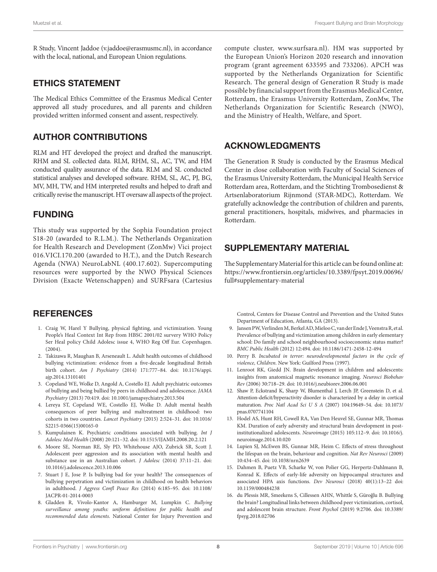R Study, Vincent Jaddoe [\(v.jaddoe@erasmusmc.nl](emailto:v.jaddoe@erasmusmc.nl)), in accordance with the local, national, and European Union regulations.

### ETHICS STATEMENT

The Medical Ethics Committee of the Erasmus Medical Center approved all study procedures, and all parents and children provided written informed consent and assent, respectively.

# AUTHOR CONTRIBUTIONS

RLM and HT developed the project and drafted the manuscript. RHM and SL collected data. RLM, RHM, SL, AC, TW, and HM conducted quality assurance of the data. RLM and SL conducted statistical analyses and developed software. RHM, SL, AC, PJ, BG, MV, MH, TW, and HM interpreted results and helped to draft and critically revise the manuscript. HT oversaw all aspects of the project.

### FUNDING

This study was supported by the Sophia Foundation project S18-20 (awarded to R.L.M.). The Netherlands Organization for Health Research and Development (ZonMw) Vici project 016.VICI.170.200 (awarded to H.T.), and the Dutch Research Agenda (NWA) NeuroLabNL (400.17.602). Supercomputing resources were supported by the NWO Physical Sciences Division (Exacte Wetenschappen) and SURFsara (Cartesius

### **REFERENCES**

- <span id="page-7-0"></span>1. Craig W, Harel Y Bullying, physical fighting, and victimization. Young People's Heal Context Int Rep from HBSC 2001/02 survery WHO Policy Ser Heal policy Child Adolesc issue 4, WHO Reg Off Eur. Copenhagen.  $(2004)$
- <span id="page-7-1"></span>2. Takizawa R, Maughan B, Arseneault L. Adult health outcomes of childhood bullying victimization: evidence from a five-decade longitudinal British birth cohort. *Am J Psychiatry* (2014) 171:777–84. doi: [10.1176/appi.](https://doi.org/10.1176/appi.ajp.2014.13101401) [ajp.2014.13101401](https://doi.org/10.1176/appi.ajp.2014.13101401)
- 3. Copeland WE, Wolke D, Angold A, Costello EJ. Adult psychiatric outcomes of bullying and being bullied by peers in childhood and adolescence. *JAMA Psychiatry* (2013) 70:419. doi: [10.1001/jamapsychiatry.2013.504](https://doi.org/10.1001/jamapsychiatry.2013.504)
- 4. Lereya ST, Copeland WE, Costello EJ, Wolke D. Adult mental health consequences of peer bullying and maltreatment in childhood: two cohorts in two countries. *Lancet Psychiatry* (2015) 2:524–31. doi: [10.1016/](https://doi.org/10.1016/S2215-0366(15)00165-0) [S2215-0366\(15\)00165-0](https://doi.org/10.1016/S2215-0366(15)00165-0)
- 5. Kumpulainen K. Psychiatric conditions associated with bullying. *Int J Adolesc Med Health* (2008) 20:121–32. doi: [10.1515/IJAMH.2008.20.2.121](https://doi.org/10.1515/IJAMH.2008.20.2.121)
- 6. Moore SE, Norman RE, Sly PD, Whitehouse AJO, Zubrick SR, Scott J. Adolescent peer aggression and its association with mental health and substance use in an Australian cohort. *J Adolesc* (2014) 37:11–21. doi: [10.1016/j.adolescence.2013.10.006](https://doi.org/10.1016/j.adolescence.2013.10.006)
- 7. Stuart J E, Jose P. Is bullying bad for your health? The consequences of bullying perpetration and victimization in childhood on health behaviors in adulthood. *J Aggress Confl Peace Res* (2014) 6:185–95. doi: [10.1108/](https://doi.org/10.1108/JACPR-01-2014-0003) [JACPR-01-2014-0003](https://doi.org/10.1108/JACPR-01-2014-0003)
- 8. Gladden R, Vivolo-Kantor A, Hamburger M, Lumpkin C. *Bullying surveillance among youths: uniform definitions for public health and recommended data elements*. National Center for Injury Prevention and

compute cluster, [www.surfsara.nl\)](www.surfsara.nl). HM was supported by the European Union's Horizon 2020 research and innovation program (grant agreement 633595 and 733206). APCH was supported by the Netherlands Organization for Scientific Research. The general design of Generation R Study is made possible by financial support from the Erasmus Medical Center, Rotterdam, the Erasmus University Rotterdam, ZonMw, The Netherlands Organization for Scientific Research (NWO), and the Ministry of Health, Welfare, and Sport.

### ACKNOWLEDGMENTS

The Generation R Study is conducted by the Erasmus Medical Center in close collaboration with Faculty of Social Sciences of the Erasmus University Rotterdam, the Municipal Health Service Rotterdam area, Rotterdam, and the Stichting Trombosedienst & Artsenlaboratorium Rijnmond (STAR-MDC), Rotterdam. We gratefully acknowledge the contribution of children and parents, general practitioners, hospitals, midwives, and pharmacies in Rotterdam.

### SUPPLEMENTARY MATERIAL

The Supplementary Material for this article can be found online at: [https://www.frontiersin.org/articles/10.3389/fpsyt.2019.00696/](https://www.frontiersin.org/articles/10.3389/fpsyt.2019.00696/full#supplementary-material) [full#supplementary-material](https://www.frontiersin.org/articles/10.3389/fpsyt.2019.00696/full#supplementary-material)

Control, Centers for Disease Control and Prevention and the United States Department of Education, Atlanta, GA (2013).

- 9. Jansen PW, Verlinden M, Berkel AD, Mieloo C, van der Ende J, Veenstra R, et al. Prevalence of bullying and victimization among children in early elementary school: Do family and school neighbourhood socioeconomic status matter? *BMC Public Health* (2012) 12:494. doi: [10.1186/1471-2458-12-494](https://doi.org/10.1186/1471-2458-12-494)
- <span id="page-7-2"></span>10. Perry B. *Incubated in terror: neurodevelopmental factors in the cycle of violence, Children*. New York: Guilford Press (1997).
- <span id="page-7-3"></span>11. Lenroot RK, Giedd JN. Brain development in children and adolescents: insights from anatomical magnetic resonance imaging. *Neurosci Biobehav Rev* (2006) 30:718–29. doi: [10.1016/j.neubiorev.2006.06.001](https://doi.org/10.1016/j.neubiorev.2006.06.001)
- <span id="page-7-4"></span>12. Shaw P, Eckstrand K, Sharp W, Blumenthal J, Lerch JP, Greenstein D, et al. Attention-deficit/hyperactivity disorder is characterized by a delay in cortical maturation. *Proc Natl Acad Sci U S A* (2007) 104:19649–54. doi: [10.1073/](https://doi.org/10.1073/pnas.0707741104) [pnas.0707741104](https://doi.org/10.1073/pnas.0707741104)
- <span id="page-7-5"></span>13. Hodel AS, Hunt RH, Cowell RA, Van Den Heuvel SE, Gunnar MR, Thomas KM. Duration of early adversity and structural brain development in postinstitutionalized adolescents. *Neuroimage* (2015) 105:112–9. doi: [10.1016/j.](https://doi.org/10.1016/j.neuroimage.2014.10.020) [neuroimage.2014.10.020](https://doi.org/10.1016/j.neuroimage.2014.10.020)
- <span id="page-7-8"></span>14. Lupien SJ, McEwen BS, Gunnar MR, Heim C. Effects of stress throughout the lifespan on the brain, behaviour and cognition. *Nat Rev Neurosci* (2009) 10:434–45. doi: [10.1038/nrn2639](https://doi.org/10.1038/nrn2639)
- <span id="page-7-6"></span>15. Dahmen B, Puetz VB, Scharke W, von Polier GG, Herpertz-Dahlmann B, Konrad K. Effects of early-life adversity on hippocampal structures and associated HPA axis functions. *Dev Neurosci* (2018) 40(1):13–22 doi: [10.1159/000484238](https://doi.org/10.1159/000484238)
- <span id="page-7-7"></span>16. du Plessis MR, Smeekens S, Cillessen AHN, Whittle S, Güroğlu B. Bullying the brain? Longitudinal links between childhood peer victimization, cortisol, and adolescent brain structure. *Front Psychol* (2019) 9:2706. doi: [10.3389/](https://doi.org/10.3389/fpsyg.2018.02706) [fpsyg.2018.02706](https://doi.org/10.3389/fpsyg.2018.02706)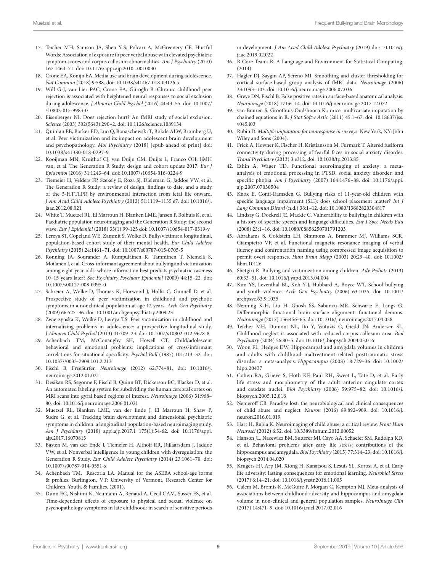- <span id="page-8-0"></span>17. Teicher MH, Samson JA, Sheu Y-S, Polcari A, McGreenery CE. Hurtful Words: Association of exposure to peer verbal abuse with elevated psychiatric symptom scores and corpus callosum abnormalities. *Am J Psychiatry* (2010) 167:1464–71. doi: [10.1176/appi.ajp.2010.10010030](https://doi.org/10.1176/appi.ajp.2010.10010030)
- <span id="page-8-1"></span>18. Crone EA, Konijn EA. Media use and brain development during adolescence. *Nat Commun* (2018) 9:588. doi: [10.1038/s41467-018-03126-x](https://doi.org/10.1038/s41467-018-03126-x)
- <span id="page-8-2"></span>19. Will G-J, van Lier PAC, Crone EA, Güroğlu B. Chronic childhood peer rejection is associated with heightened neural responses to social exclusion during adolescence. *J Abnorm Child Psychol* (2016) 44:43–55. doi: [10.1007/](https://doi.org/10.1007/s10802-015-9983-0) [s10802-015-9983-0](https://doi.org/10.1007/s10802-015-9983-0)
- <span id="page-8-3"></span>20. Eisenberger NI. Does rejection hurt? An fMRI study of social exclusion. *Science* (2003) 302(5643):290–2. doi: [10.1126/science.1089134](https://doi.org/10.1126/science.1089134)
- <span id="page-8-4"></span>21. Quinlan EB, Barker ED, Luo Q, Banaschewski T, Bokde ALW, Bromberg U, et al. Peer victimization and its impact on adolescent brain development and psychopathology. *Mol Psychiatry* (2018) [epub ahead of print] doi: [10.1038/s41380-018-0297-9](https://doi.org/10.1038/s41380-018-0297-9)
- <span id="page-8-5"></span>22. Kooijman MN, Kruithof CJ, van Duijn CM, Duijts L, Franco OH, IjMH van, et al. The Generation R Study: design and cohort update 2017. *Eur J Epidemiol* (2016) 31:1243–64. doi: [10.1007/s10654-016-0224-9](https://doi.org/10.1007/s10654-016-0224-9)
- <span id="page-8-6"></span>23. Tiemeier H, Velders FP, Szekely E, Roza SJ, Dieleman G, Jaddoe VW, et al. The Generation R Study: a review of design, findings to date, and a study of the 5-HTTLPR by environmental interaction from fetal life onward. *J Am Acad Child Adolesc Psychiatry* (2012) 51:1119–1135 e7. doi: [10.1016/j.](https://doi.org/10.1016/j.jaac.2012.08.021) [jaac.2012.08.021](https://doi.org/10.1016/j.jaac.2012.08.021)
- <span id="page-8-7"></span>24. White T, Muetzel RL, El Marroun H, Blanken LME, Jansen P, Bolhuis K, et al. Paediatric population neuroimaging and the Generation R Study: the second wave. *Eur J Epidemiol* (2018) 33(1):99-125 doi: [10.1007/s10654-017-0319-y](https://doi.org/10.1007/s10654-017-0319-y)
- <span id="page-8-8"></span>25. Lereya ST, Copeland WE, Zammit S, Wolke D. Bully/victims: a longitudinal, population-based cohort study of their mental health. *Eur Child Adolesc Psychiatry* (2015) 24:1461–71. doi: [10.1007/s00787-015-0705-5](https://doi.org/10.1007/s00787-015-0705-5)
- 26. Rønning JA, Sourander A, Kumpulainen K, Tamminen T, Niemelä S, Moilanen I, et al. Cross-informant agreement about bullying and victimization among eight-year-olds: whose information best predicts psychiatric caseness 10–15 years later? *Soc Psychiatry Psychiatr Epidemiol* (2009) 44:15–22. doi: [10.1007/s00127-008-0395-0](https://doi.org/10.1007/s00127-008-0395-0)
- 27. Schreier A, Wolke D, Thomas K, Horwood J, Hollis C, Gunnell D, et al. Prospective study of peer victimization in childhood and psychotic symptoms in a nonclinical population at age 12 years. *Arch Gen Psychiatry* (2009) 66:527–36. doi: [10.1001/archgenpsychiatry.2009.23](https://doi.org/10.1001/archgenpsychiatry.2009.23)
- <span id="page-8-9"></span>28. Zwierzynska K, Wolke D, Lereya TS. Peer victimization in childhood and internalizing problems in adolescence: a prospective longitudinal study. *J Abnorm Child Psychol* (2013) 41:309–23. doi: [10.1007/s10802-012-9678-8](https://doi.org/10.1007/s10802-012-9678-8)
- <span id="page-8-10"></span>29. Achenbach TM, McConaughy SH, Howell CT. Child/adolescent behavioral and emotional problems: implications of cross-informant correlations for situational specificity. *Psychol Bull* (1987) 101:213–32. doi: [10.1037//0033-2909.101.2.213](https://doi.org/10.1037//0033-2909.101.2.213)
- <span id="page-8-11"></span>30. Fischl B. FreeSurfer. *Neuroimage* (2012) 62:774–81. doi: [10.1016/j.](https://doi.org/10.1016/j.neuroimage.2012.01.021) [neuroimage.2012.01.021](https://doi.org/10.1016/j.neuroimage.2012.01.021)
- <span id="page-8-12"></span>31. Desikan RS, Segonne F, Fischl B, Quinn BT, Dickerson BC, Blacker D, et al. An automated labeling system for subdividing the human cerebral cortex on MRI scans into gyral based regions of interest. *Neuroimage* (2006) 31:968– 80. doi: [10.1016/j.neuroimage.2006.01.021](https://doi.org/10.1016/j.neuroimage.2006.01.021)
- <span id="page-8-13"></span>32. Muetzel RL, Blanken LME, van der Ende J, El Marroun H, Shaw P, Sudre G, et al. Tracking brain development and dimensional psychiatric symptoms in children: a longitudinal population-based neuroimaging study. *Am J Psychiatry* (2018) appi.ajp.2017.1 175(1):54-62. doi: [10.1176/appi.](https://doi.org/10.1176/appi.ajp.2017.16070813) [ajp.2017.16070813](https://doi.org/10.1176/appi.ajp.2017.16070813)
- <span id="page-8-14"></span>33. Basten M, van der Ende J, Tiemeier H, Althoff RR, Rijlaarsdam J, Jaddoe VW, et al. Nonverbal intelligence in young children with dysregulation: the Generation R Study. *Eur Child Adolesc Psychiatry* (2014) 23:1061–70. doi: [10.1007/s00787-014-0551-x](https://doi.org/10.1007/s00787-014-0551-x)
- <span id="page-8-15"></span>34. Achenbach TM, Rescorla LA. Manual for the ASEBA school-age forms & profiles. Burlington, VT: University of Vermont, Research Center for Children, Youth, & Families. (2001).
- <span id="page-8-16"></span>35. Dunn EC, Nishimi K, Neumann A, Renaud A, Cecil CAM, Susser ES, et al. Time-dependent effects of exposure to physical and sexual violence on psychopathology symptoms in late childhood: in search of sensitive periods

in development. *J Am Acad Child Adolesc Psychiatry* (2019) doi: [10.1016/j.](https://doi.org/10.1016/j.jaac.2019.02.022) [jaac.2019.02.022](https://doi.org/10.1016/j.jaac.2019.02.022)

- <span id="page-8-17"></span>36. R Core Team. R: A Language and Environment for Statistical Computing. (2014).
- <span id="page-8-18"></span>37. Hagler DJ, Saygin AP, Sereno MI. Smoothing and cluster thresholding for cortical surface-based group analysis of fMRI data. *Neuroimage* (2006) 33:1093–103. doi: [10.1016/j.neuroimage.2006.07.036](https://doi.org/10.1016/j.neuroimage.2006.07.036)
- <span id="page-8-19"></span>38. Greve DN, Fischl B. False positive rates in surface-based anatomical analysis. *Neuroimage* (2018) 171:6–14. doi: [10.1016/j.neuroimage.2017.12.072](https://doi.org/10.1016/j.neuroimage.2017.12.072)
- 39. van Buuren S, Groothuis-Oudshoorn K.: mice: multivariate imputation by chained equations in R. *J Stat Softw Artic* (2011) 45:1–67. doi: [10.18637/jss.](https://doi.org/10.18637/jss.v045.i03)  $v(0.45.103)$
- 40. Rubin D. *Multiple imputation for nonresponse in surveys*. New York, NY: John Wiley and Sons (2004).
- 41. Frick A, Howner K, Fischer H, Kristiansson M, Furmark T. Altered fusiform connectivity during processing of fearful faces in social anxiety disorder. *Transl Psychiatry* (2013) 3:e312. doi: [10.1038/tp.2013.85](https://doi.org/10.1038/tp.2013.85)
- 42. Etkin A, Wager TD. Functional neuroimaging of anxiety: a metaanalysis of emotional processing in PTSD, social anxiety disorder, and specific phobia. *Am J Psychiatry* (2007) 164:1476–88. doi: [10.1176/appi.](https://doi.org/10.1176/appi.ajp.2007.07030504) [ajp.2007.07030504](https://doi.org/10.1176/appi.ajp.2007.07030504)
- 43. Knox E, Conti-Ramsden G. Bullying risks of 11-year-old children with specific language impairment (SLI): does school placement matter? *Int J Lang Commun Disord* (n.d.) 38:1–12. doi: [10.1080/13682820304817](https://doi.org/10.1080/13682820304817)
- 44. Lindsay G, Dockrell JE, Mackie C. Vulnerability to bullying in children with a history of specific speech and language difficulties. *Eur J Spec Needs Edu* (2008) 23:1–16. doi: [10.1080/08856250701791203](https://doi.org/10.1080/08856250701791203)
- 45. Abrahams S, Goldstein LH, Simmons A, Brammer MJ, Williams SCR, Giampietro VP, et al. Functional magnetic resonance imaging of verbal fluency and confrontation naming using compressed image acquisition to permit overt responses. *Hum Brain Mapp* (2003) 20:29–40. doi: [10.1002/](https://doi.org/10.1002/hbm.10126) [hbm.10126](https://doi.org/10.1002/hbm.10126)
- 46. Shetgiri R. Bullying and victimization among children. *Adv Pediatr* (2013) 60:33–51. doi: [10.1016/j.yapd.2013.04.004](https://doi.org/10.1016/j.yapd.2013.04.004)
- 47. Kim YS, Leventhal BL, Koh Y-J, Hubbard A, Boyce WT. School bullying and youth violence. *Arch Gen Psychiatry* (2006) 63:1035. doi: [10.1001/](https://doi.org/10.1001/archpsyc.63.9.1035) [archpsyc.63.9.1035](https://doi.org/10.1001/archpsyc.63.9.1035)
- 48. Nenning K-H, Liu H, Ghosh SS, Sabuncu MR, Schwartz E, Langs G. Diffeomorphic functional brain surface alignment: functional demons. *Neuroimage* (2017) 156:456–65. doi: [10.1016/j.neuroimage.2017.04.028](https://doi.org/10.1016/j.neuroimage.2017.04.028)
- 49. Teicher MH, Dumont NL, Ito Y, Vaituzis C, Giedd JN, Andersen SL. Childhood neglect is associated with reduced corpus callosum area. *Biol Psychiatry* (2004) 56:80–5. doi: [10.1016/j.biopsych.2004.03.016](https://doi.org/10.1016/j.biopsych.2004.03.016)
- 50. Woon FL, Hedges DW. Hippocampal and amygdala volumes in children and adults with childhood maltreatment-related posttraumatic stress disorder: a meta-analysis. *Hippocampus* (2008) 18:729–36. doi: [10.1002/](https://doi.org/10.1002/hipo.20437) [hipo.20437](https://doi.org/10.1002/hipo.20437)
- 51. Cohen RA, Grieve S, Hoth KF, Paul RH, Sweet L, Tate D, et al. Early life stress and morphometry of the adult anterior cingulate cortex and caudate nuclei. *Biol Psychiatry* (2006) 59:975–82. doi: [10.1016/j.](https://doi.org/10.1016/j.biopsych.2005.12.016) [biopsych.2005.12.016](https://doi.org/10.1016/j.biopsych.2005.12.016)
- 52. Nemeroff CB. Paradise lost: the neurobiological and clinical consequences of child abuse and neglect. *Neuron* (2016) 89:892–909. doi: [10.1016/j.](https://doi.org/10.1016/j.neuron.2016.01.019) [neuron.2016.01.019](https://doi.org/10.1016/j.neuron.2016.01.019)
- 53. Hart H, Rubia K. Neuroimaging of child abuse: a critical review. *Front Hum Neurosci* (2012) 6:52. doi: [10.3389/fnhum.2012.00052](https://doi.org/10.3389/fnhum.2012.00052)
- 54. Hanson JL, Nacewicz BM, Sutterer MJ, Cayo AA, Schaefer SM, Rudolph KD, et al. Behavioral problems after early life stress: contributions of the hippocampus and amygdala. *Biol Psychiatry* (2015) 77:314–23. doi: [10.1016/j.](https://doi.org/10.1016/j.biopsych.2014.04.020) [biopsych.2014.04.020](https://doi.org/10.1016/j.biopsych.2014.04.020)
- 55. Krugers HJ, Arp JM, Xiong H, Kanatsou S, Lesuis SL, Korosi A, et al. Early life adversity: lasting consequences for emotional learning. *Neurobiol Stress* (2017) 6:14–21. doi: [10.1016/j.ynstr.2016.11.005](https://doi.org/10.1016/j.ynstr.2016.11.005)
- 56. Calem M, Bromis K, McGuire P, Morgan C, Kempton MJ. Meta-analysis of associations between childhood adversity and hippocampus and amygdala volume in non-clinical and general population samples. *NeuroImage Clin* (2017) 14:471–9. doi: [10.1016/j.nicl.2017.02.016](https://doi.org/10.1016/j.nicl.2017.02.016)